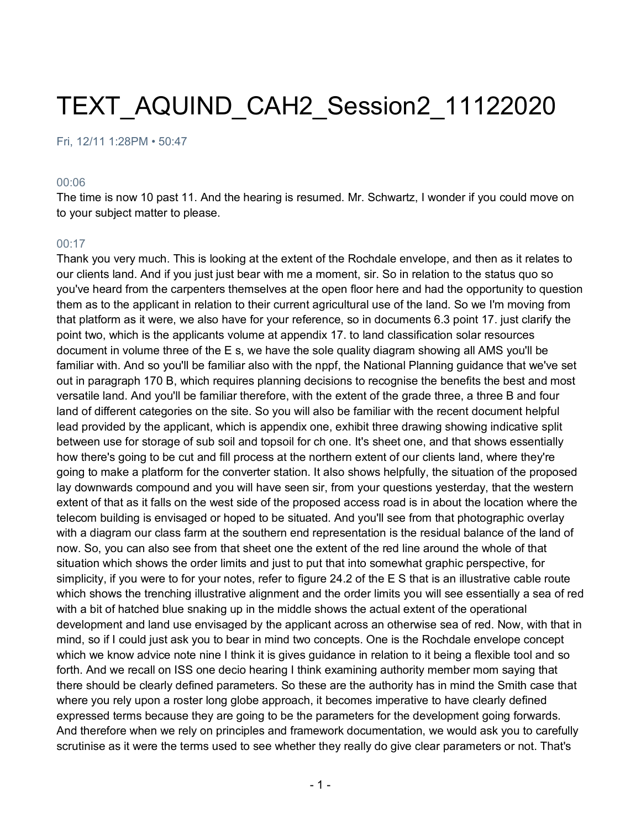# TEXT\_AQUIND\_CAH2\_Session2\_11122020

Fri, 12/11 1:28PM • 50:47

#### 00:06

The time is now 10 past 11. And the hearing is resumed. Mr. Schwartz, I wonder if you could move on to your subject matter to please.

#### 00:17

Thank you very much. This is looking at the extent of the Rochdale envelope, and then as it relates to our clients land. And if you just just bear with me a moment, sir. So in relation to the status quo so you've heard from the carpenters themselves at the open floor here and had the opportunity to question them as to the applicant in relation to their current agricultural use of the land. So we I'm moving from that platform as it were, we also have for your reference, so in documents 6.3 point 17. just clarify the point two, which is the applicants volume at appendix 17. to land classification solar resources document in volume three of the E s, we have the sole quality diagram showing all AMS you'll be familiar with. And so you'll be familiar also with the nppf, the National Planning guidance that we've set out in paragraph 170 B, which requires planning decisions to recognise the benefits the best and most versatile land. And you'll be familiar therefore, with the extent of the grade three, a three B and four land of different categories on the site. So you will also be familiar with the recent document helpful lead provided by the applicant, which is appendix one, exhibit three drawing showing indicative split between use for storage of sub soil and topsoil for ch one. It's sheet one, and that shows essentially how there's going to be cut and fill process at the northern extent of our clients land, where they're going to make a platform for the converter station. It also shows helpfully, the situation of the proposed lay downwards compound and you will have seen sir, from your questions yesterday, that the western extent of that as it falls on the west side of the proposed access road is in about the location where the telecom building is envisaged or hoped to be situated. And you'll see from that photographic overlay with a diagram our class farm at the southern end representation is the residual balance of the land of now. So, you can also see from that sheet one the extent of the red line around the whole of that situation which shows the order limits and just to put that into somewhat graphic perspective, for simplicity, if you were to for your notes, refer to figure 24.2 of the E S that is an illustrative cable route which shows the trenching illustrative alignment and the order limits you will see essentially a sea of red with a bit of hatched blue snaking up in the middle shows the actual extent of the operational development and land use envisaged by the applicant across an otherwise sea of red. Now, with that in mind, so if I could just ask you to bear in mind two concepts. One is the Rochdale envelope concept which we know advice note nine I think it is gives guidance in relation to it being a flexible tool and so forth. And we recall on ISS one decio hearing I think examining authority member mom saying that there should be clearly defined parameters. So these are the authority has in mind the Smith case that where you rely upon a roster long globe approach, it becomes imperative to have clearly defined expressed terms because they are going to be the parameters for the development going forwards. And therefore when we rely on principles and framework documentation, we would ask you to carefully scrutinise as it were the terms used to see whether they really do give clear parameters or not. That's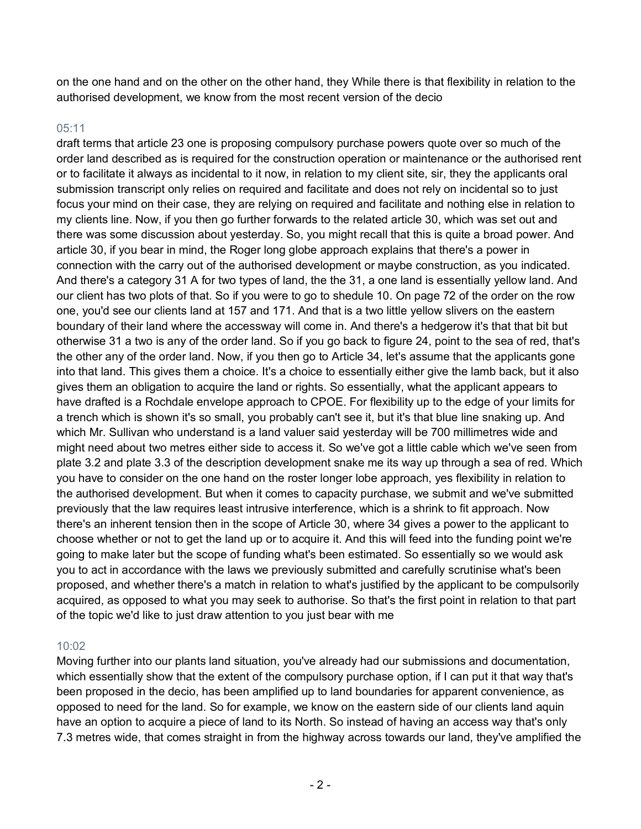on the one hand and on the other on the other hand, they While there is that flexibility in relation to the authorised development, we know from the most recent version of the decio

## $05:11$

draft terms that article 23 one is proposing compulsory purchase powers quote over so much of the order land described as is required for the construction operation or maintenance or the authorised rent or to facilitate it always as incidental to it now, in relation to my client site, sir, they the applicants oral submission transcript only relies on required and facilitate and does not rely on incidental so to just focus your mind on their case, they are relying on required and facilitate and nothing else in relation to my clients line. Now, if you then go further forwards to the related article 30, which was set out and there was some discussion about yesterday. So, you might recall that this is quite a broad power. And article 30, if you bear in mind, the Roger long globe approach explains that there's a power in connection with the carry out of the authorised development or maybe construction, as you indicated. And there's a category 31 A for two types of land, the the 31, a one land is essentially yellow land. And our client has two plots of that. So if you were to go to shedule 10. On page 72 of the order on the row one, you'd see our clients land at 157 and 171. And that is a two little yellow slivers on the eastern boundary of their land where the accessway will come in. And there's a hedgerow it's that that bit but otherwise 31 a two is any of the order land. So if you go back to figure 24, point to the sea of red, that's the other any of the order land. Now, if you then go to Article 34, let's assume that the applicants gone into that land. This gives them a choice. It's a choice to essentially either give the lamb back, but it also gives them an obligation to acquire the land or rights. So essentially, what the applicant appears to have drafted is a Rochdale envelope approach to CPOE. For flexibility up to the edge of your limits for a trench which is shown it's so small, you probably can't see it, but it's that blue line snaking up. And which Mr. Sullivan who understand is a land valuer said yesterday will be 700 millimetres wide and might need about two metres either side to access it. So we've got a little cable which we've seen from plate 3.2 and plate 3.3 of the description development snake me its way up through a sea of red. Which you have to consider on the one hand on the roster longer lobe approach, yes flexibility in relation to the authorised development. But when it comes to capacity purchase, we submit and we've submitted previously that the law requires least intrusive interference, which is a shrink to fit approach. Now there's an inherent tension then in the scope of Article 30, where 34 gives a power to the applicant to choose whether or not to get the land up or to acquire it. And this will feed into the funding point we're going to make later but the scope of funding what's been estimated. So essentially so we would ask you to act in accordance with the laws we previously submitted and carefully scrutinise what's been proposed, and whether there's a match in relation to what's justified by the applicant to be compulsorily acquired, as opposed to what you may seek to authorise. So that's the first point in relation to that part of the topic we'd like to just draw attention to you just bear with me

## 10:02

Moving further into our plants land situation, you've already had our submissions and documentation, which essentially show that the extent of the compulsory purchase option, if I can put it that way that's been proposed in the decio, has been amplified up to land boundaries for apparent convenience, as opposed to need for the land. So for example, we know on the eastern side of our clients land aquin have an option to acquire a piece of land to its North. So instead of having an access way that's only 7.3 metres wide, that comes straight in from the highway across towards our land, they've amplified the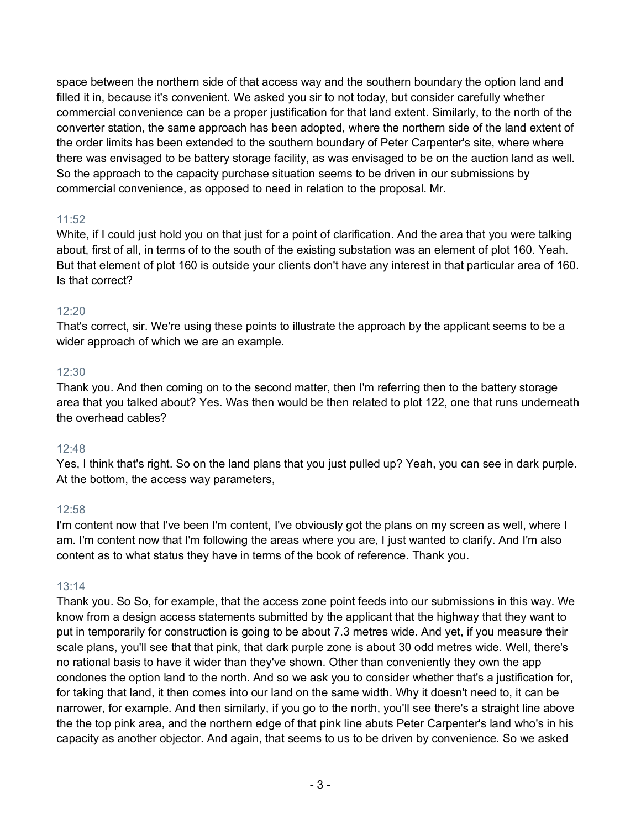space between the northern side of that access way and the southern boundary the option land and filled it in, because it's convenient. We asked you sir to not today, but consider carefully whether commercial convenience can be a proper justification for that land extent. Similarly, to the north of the converter station, the same approach has been adopted, where the northern side of the land extent of the order limits has been extended to the southern boundary of Peter Carpenter's site, where where there was envisaged to be battery storage facility, as was envisaged to be on the auction land as well. So the approach to the capacity purchase situation seems to be driven in our submissions by commercial convenience, as opposed to need in relation to the proposal. Mr.

## 11:52

White, if I could just hold you on that just for a point of clarification. And the area that you were talking about, first of all, in terms of to the south of the existing substation was an element of plot 160. Yeah. But that element of plot 160 is outside your clients don't have any interest in that particular area of 160. Is that correct?

# 12:20

That's correct, sir. We're using these points to illustrate the approach by the applicant seems to be a wider approach of which we are an example.

## 12:30

Thank you. And then coming on to the second matter, then I'm referring then to the battery storage area that you talked about? Yes. Was then would be then related to plot 122, one that runs underneath the overhead cables?

# 12:48

Yes, I think that's right. So on the land plans that you just pulled up? Yeah, you can see in dark purple. At the bottom, the access way parameters,

## 12:58

I'm content now that I've been I'm content, I've obviously got the plans on my screen as well, where I am. I'm content now that I'm following the areas where you are, I just wanted to clarify. And I'm also content as to what status they have in terms of the book of reference. Thank you.

## 13:14

Thank you. So So, for example, that the access zone point feeds into our submissions in this way. We know from a design access statements submitted by the applicant that the highway that they want to put in temporarily for construction is going to be about 7.3 metres wide. And yet, if you measure their scale plans, you'll see that that pink, that dark purple zone is about 30 odd metres wide. Well, there's no rational basis to have it wider than they've shown. Other than conveniently they own the app condones the option land to the north. And so we ask you to consider whether that's a justification for, for taking that land, it then comes into our land on the same width. Why it doesn't need to, it can be narrower, for example. And then similarly, if you go to the north, you'll see there's a straight line above the the top pink area, and the northern edge of that pink line abuts Peter Carpenter's land who's in his capacity as another objector. And again, that seems to us to be driven by convenience. So we asked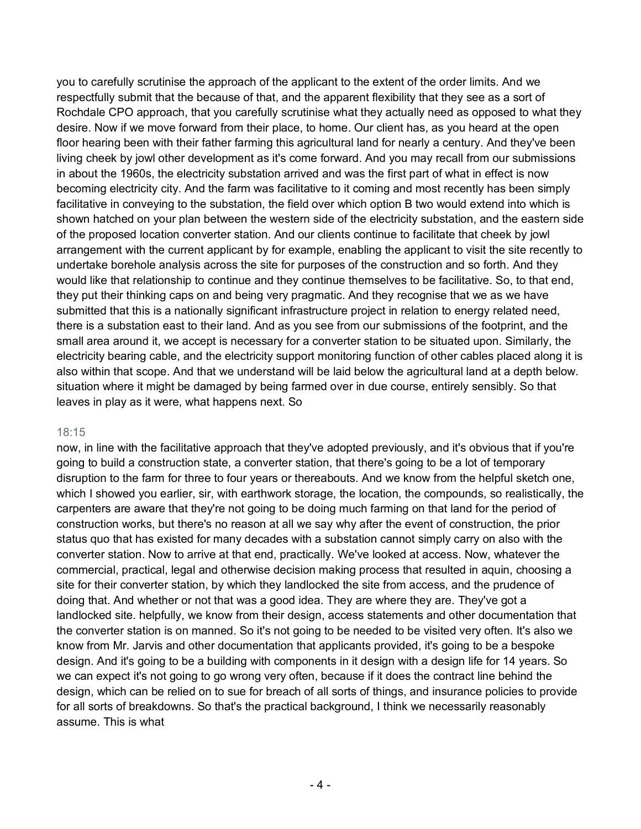you to carefully scrutinise the approach of the applicant to the extent of the order limits. And we respectfully submit that the because of that, and the apparent flexibility that they see as a sort of Rochdale CPO approach, that you carefully scrutinise what they actually need as opposed to what they desire. Now if we move forward from their place, to home. Our client has, as you heard at the open floor hearing been with their father farming this agricultural land for nearly a century. And they've been living cheek by jowl other development as it's come forward. And you may recall from our submissions in about the 1960s, the electricity substation arrived and was the first part of what in effect is now becoming electricity city. And the farm was facilitative to it coming and most recently has been simply facilitative in conveying to the substation, the field over which option B two would extend into which is shown hatched on your plan between the western side of the electricity substation, and the eastern side of the proposed location converter station. And our clients continue to facilitate that cheek by jowl arrangement with the current applicant by for example, enabling the applicant to visit the site recently to undertake borehole analysis across the site for purposes of the construction and so forth. And they would like that relationship to continue and they continue themselves to be facilitative. So, to that end, they put their thinking caps on and being very pragmatic. And they recognise that we as we have submitted that this is a nationally significant infrastructure project in relation to energy related need, there is a substation east to their land. And as you see from our submissions of the footprint, and the small area around it, we accept is necessary for a converter station to be situated upon. Similarly, the electricity bearing cable, and the electricity support monitoring function of other cables placed along it is also within that scope. And that we understand will be laid below the agricultural land at a depth below. situation where it might be damaged by being farmed over in due course, entirely sensibly. So that leaves in play as it were, what happens next. So

## 18:15

now, in line with the facilitative approach that they've adopted previously, and it's obvious that if you're going to build a construction state, a converter station, that there's going to be a lot of temporary disruption to the farm for three to four years or thereabouts. And we know from the helpful sketch one, which I showed you earlier, sir, with earthwork storage, the location, the compounds, so realistically, the carpenters are aware that they're not going to be doing much farming on that land for the period of construction works, but there's no reason at all we say why after the event of construction, the prior status quo that has existed for many decades with a substation cannot simply carry on also with the converter station. Now to arrive at that end, practically. We've looked at access. Now, whatever the commercial, practical, legal and otherwise decision making process that resulted in aquin, choosing a site for their converter station, by which they landlocked the site from access, and the prudence of doing that. And whether or not that was a good idea. They are where they are. They've got a landlocked site. helpfully, we know from their design, access statements and other documentation that the converter station is on manned. So it's not going to be needed to be visited very often. It's also we know from Mr. Jarvis and other documentation that applicants provided, it's going to be a bespoke design. And it's going to be a building with components in it design with a design life for 14 years. So we can expect it's not going to go wrong very often, because if it does the contract line behind the design, which can be relied on to sue for breach of all sorts of things, and insurance policies to provide for all sorts of breakdowns. So that's the practical background, I think we necessarily reasonably assume. This is what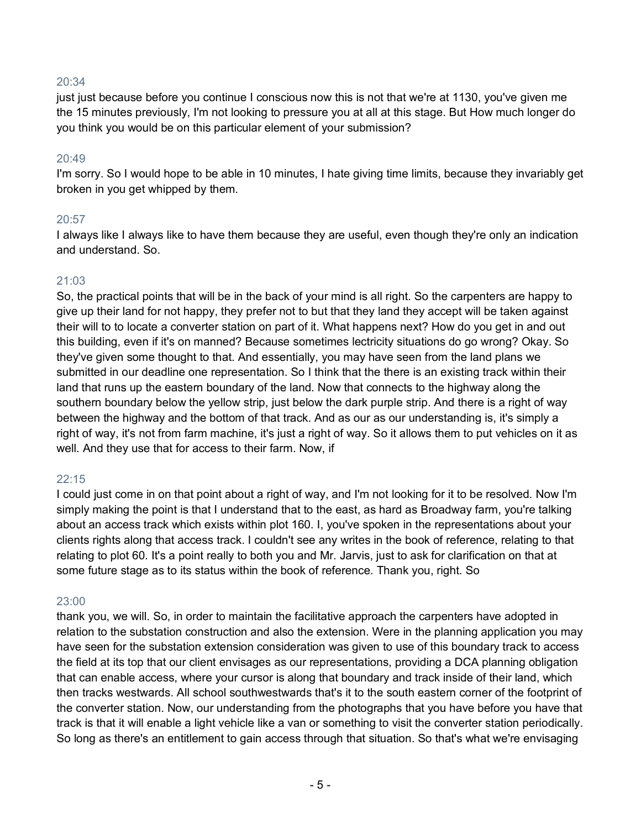### 20:34

just just because before you continue I conscious now this is not that we're at 1130, you've given me the 15 minutes previously, I'm not looking to pressure you at all at this stage. But How much longer do you think you would be on this particular element of your submission?

#### 20:49

I'm sorry. So I would hope to be able in 10 minutes, I hate giving time limits, because they invariably get broken in you get whipped by them.

#### 20:57

I always like I always like to have them because they are useful, even though they're only an indication and understand. So.

## 21:03

So, the practical points that will be in the back of your mind is all right. So the carpenters are happy to give up their land for not happy, they prefer not to but that they land they accept will be taken against their will to to locate a converter station on part of it. What happens next? How do you get in and out this building, even if it's on manned? Because sometimes lectricity situations do go wrong? Okay. So they've given some thought to that. And essentially, you may have seen from the land plans we submitted in our deadline one representation. So I think that the there is an existing track within their land that runs up the eastern boundary of the land. Now that connects to the highway along the southern boundary below the yellow strip, just below the dark purple strip. And there is a right of way between the highway and the bottom of that track. And as our as our understanding is, it's simply a right of way, it's not from farm machine, it's just a right of way. So it allows them to put vehicles on it as well. And they use that for access to their farm. Now, if

## 22:15

I could just come in on that point about a right of way, and I'm not looking for it to be resolved. Now I'm simply making the point is that I understand that to the east, as hard as Broadway farm, you're talking about an access track which exists within plot 160. I, you've spoken in the representations about your clients rights along that access track. I couldn't see any writes in the book of reference, relating to that relating to plot 60. It's a point really to both you and Mr. Jarvis, just to ask for clarification on that at some future stage as to its status within the book of reference. Thank you, right. So

## 23:00

thank you, we will. So, in order to maintain the facilitative approach the carpenters have adopted in relation to the substation construction and also the extension. Were in the planning application you may have seen for the substation extension consideration was given to use of this boundary track to access the field at its top that our client envisages as our representations, providing a DCA planning obligation that can enable access, where your cursor is along that boundary and track inside of their land, which then tracks westwards. All school southwestwards that's it to the south eastern corner of the footprint of the converter station. Now, our understanding from the photographs that you have before you have that track is that it will enable a light vehicle like a van or something to visit the converter station periodically. So long as there's an entitlement to gain access through that situation. So that's what we're envisaging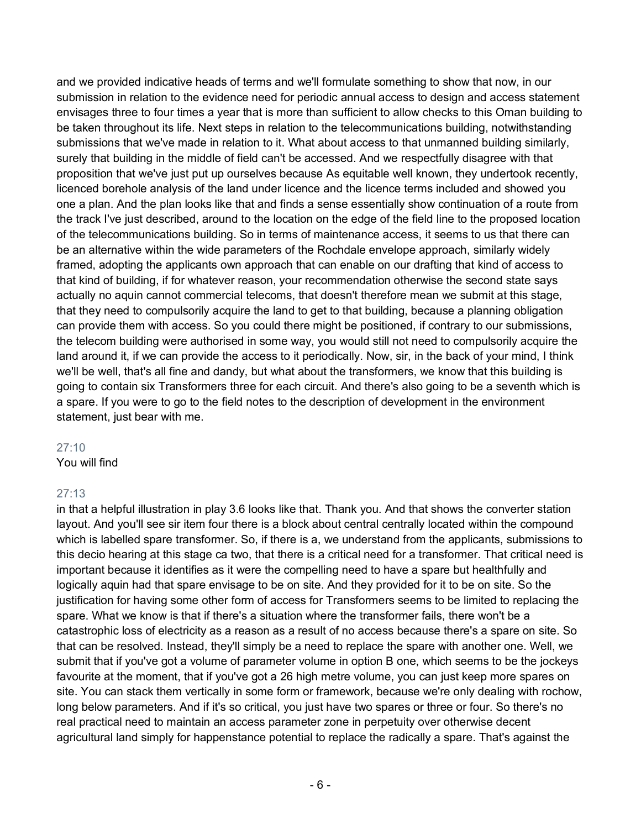and we provided indicative heads of terms and we'll formulate something to show that now, in our submission in relation to the evidence need for periodic annual access to design and access statement envisages three to four times a year that is more than sufficient to allow checks to this Oman building to be taken throughout its life. Next steps in relation to the telecommunications building, notwithstanding submissions that we've made in relation to it. What about access to that unmanned building similarly, surely that building in the middle of field can't be accessed. And we respectfully disagree with that proposition that we've just put up ourselves because As equitable well known, they undertook recently, licenced borehole analysis of the land under licence and the licence terms included and showed you one a plan. And the plan looks like that and finds a sense essentially show continuation of a route from the track I've just described, around to the location on the edge of the field line to the proposed location of the telecommunications building. So in terms of maintenance access, it seems to us that there can be an alternative within the wide parameters of the Rochdale envelope approach, similarly widely framed, adopting the applicants own approach that can enable on our drafting that kind of access to that kind of building, if for whatever reason, your recommendation otherwise the second state says actually no aquin cannot commercial telecoms, that doesn't therefore mean we submit at this stage, that they need to compulsorily acquire the land to get to that building, because a planning obligation can provide them with access. So you could there might be positioned, if contrary to our submissions, the telecom building were authorised in some way, you would still not need to compulsorily acquire the land around it, if we can provide the access to it periodically. Now, sir, in the back of your mind, I think we'll be well, that's all fine and dandy, but what about the transformers, we know that this building is going to contain six Transformers three for each circuit. And there's also going to be a seventh which is a spare. If you were to go to the field notes to the description of development in the environment statement, just bear with me.

#### 27:10

You will find

# 27:13

in that a helpful illustration in play 3.6 looks like that. Thank you. And that shows the converter station layout. And you'll see sir item four there is a block about central centrally located within the compound which is labelled spare transformer. So, if there is a, we understand from the applicants, submissions to this decio hearing at this stage ca two, that there is a critical need for a transformer. That critical need is important because it identifies as it were the compelling need to have a spare but healthfully and logically aquin had that spare envisage to be on site. And they provided for it to be on site. So the justification for having some other form of access for Transformers seems to be limited to replacing the spare. What we know is that if there's a situation where the transformer fails, there won't be a catastrophic loss of electricity as a reason as a result of no access because there's a spare on site. So that can be resolved. Instead, they'll simply be a need to replace the spare with another one. Well, we submit that if you've got a volume of parameter volume in option B one, which seems to be the jockeys favourite at the moment, that if you've got a 26 high metre volume, you can just keep more spares on site. You can stack them vertically in some form or framework, because we're only dealing with rochow, long below parameters. And if it's so critical, you just have two spares or three or four. So there's no real practical need to maintain an access parameter zone in perpetuity over otherwise decent agricultural land simply for happenstance potential to replace the radically a spare. That's against the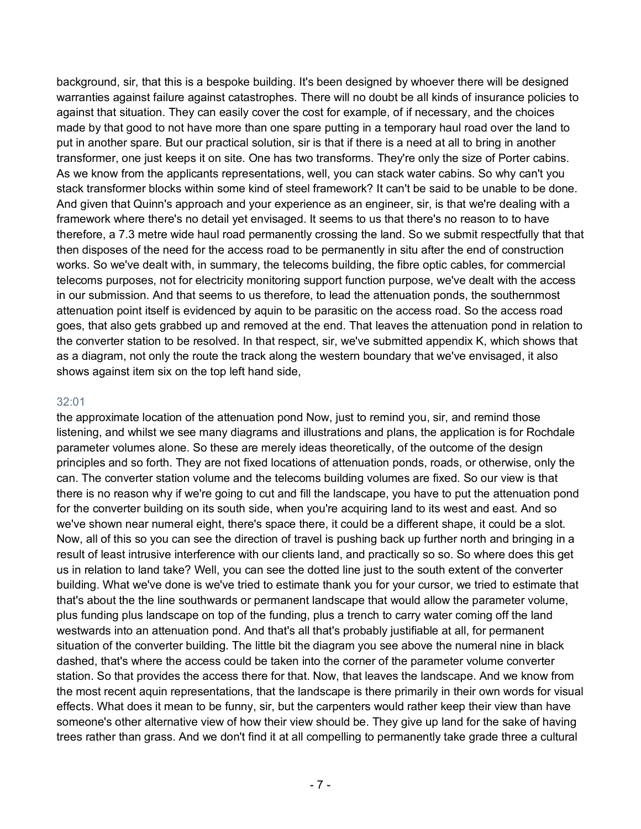background, sir, that this is a bespoke building. It's been designed by whoever there will be designed warranties against failure against catastrophes. There will no doubt be all kinds of insurance policies to against that situation. They can easily cover the cost for example, of if necessary, and the choices made by that good to not have more than one spare putting in a temporary haul road over the land to put in another spare. But our practical solution, sir is that if there is a need at all to bring in another transformer, one just keeps it on site. One has two transforms. They're only the size of Porter cabins. As we know from the applicants representations, well, you can stack water cabins. So why can't you stack transformer blocks within some kind of steel framework? It can't be said to be unable to be done. And given that Quinn's approach and your experience as an engineer, sir, is that we're dealing with a framework where there's no detail yet envisaged. It seems to us that there's no reason to to have therefore, a 7.3 metre wide haul road permanently crossing the land. So we submit respectfully that that then disposes of the need for the access road to be permanently in situ after the end of construction works. So we've dealt with, in summary, the telecoms building, the fibre optic cables, for commercial telecoms purposes, not for electricity monitoring support function purpose, we've dealt with the access in our submission. And that seems to us therefore, to lead the attenuation ponds, the southernmost attenuation point itself is evidenced by aquin to be parasitic on the access road. So the access road goes, that also gets grabbed up and removed at the end. That leaves the attenuation pond in relation to the converter station to be resolved. In that respect, sir, we've submitted appendix K, which shows that as a diagram, not only the route the track along the western boundary that we've envisaged, it also shows against item six on the top left hand side,

#### 32:01

the approximate location of the attenuation pond Now, just to remind you, sir, and remind those listening, and whilst we see many diagrams and illustrations and plans, the application is for Rochdale parameter volumes alone. So these are merely ideas theoretically, of the outcome of the design principles and so forth. They are not fixed locations of attenuation ponds, roads, or otherwise, only the can. The converter station volume and the telecoms building volumes are fixed. So our view is that there is no reason why if we're going to cut and fill the landscape, you have to put the attenuation pond for the converter building on its south side, when you're acquiring land to its west and east. And so we've shown near numeral eight, there's space there, it could be a different shape, it could be a slot. Now, all of this so you can see the direction of travel is pushing back up further north and bringing in a result of least intrusive interference with our clients land, and practically so so. So where does this get us in relation to land take? Well, you can see the dotted line just to the south extent of the converter building. What we've done is we've tried to estimate thank you for your cursor, we tried to estimate that that's about the the line southwards or permanent landscape that would allow the parameter volume, plus funding plus landscape on top of the funding, plus a trench to carry water coming off the land westwards into an attenuation pond. And that's all that's probably justifiable at all, for permanent situation of the converter building. The little bit the diagram you see above the numeral nine in black dashed, that's where the access could be taken into the corner of the parameter volume converter station. So that provides the access there for that. Now, that leaves the landscape. And we know from the most recent aquin representations, that the landscape is there primarily in their own words for visual effects. What does it mean to be funny, sir, but the carpenters would rather keep their view than have someone's other alternative view of how their view should be. They give up land for the sake of having trees rather than grass. And we don't find it at all compelling to permanently take grade three a cultural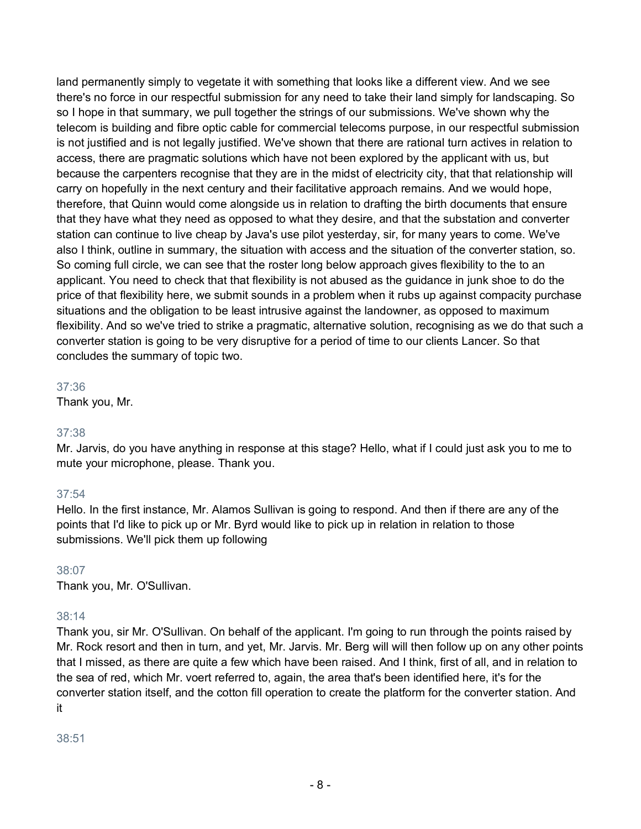land permanently simply to vegetate it with something that looks like a different view. And we see there's no force in our respectful submission for any need to take their land simply for landscaping. So so I hope in that summary, we pull together the strings of our submissions. We've shown why the telecom is building and fibre optic cable for commercial telecoms purpose, in our respectful submission is not justified and is not legally justified. We've shown that there are rational turn actives in relation to access, there are pragmatic solutions which have not been explored by the applicant with us, but because the carpenters recognise that they are in the midst of electricity city, that that relationship will carry on hopefully in the next century and their facilitative approach remains. And we would hope, therefore, that Quinn would come alongside us in relation to drafting the birth documents that ensure that they have what they need as opposed to what they desire, and that the substation and converter station can continue to live cheap by Java's use pilot yesterday, sir, for many years to come. We've also I think, outline in summary, the situation with access and the situation of the converter station, so. So coming full circle, we can see that the roster long below approach gives flexibility to the to an applicant. You need to check that that flexibility is not abused as the guidance in junk shoe to do the price of that flexibility here, we submit sounds in a problem when it rubs up against compacity purchase situations and the obligation to be least intrusive against the landowner, as opposed to maximum flexibility. And so we've tried to strike a pragmatic, alternative solution, recognising as we do that such a converter station is going to be very disruptive for a period of time to our clients Lancer. So that concludes the summary of topic two.

37:36

Thank you, Mr.

# 37:38

Mr. Jarvis, do you have anything in response at this stage? Hello, what if I could just ask you to me to mute your microphone, please. Thank you.

# 37:54

Hello. In the first instance, Mr. Alamos Sullivan is going to respond. And then if there are any of the points that I'd like to pick up or Mr. Byrd would like to pick up in relation in relation to those submissions. We'll pick them up following

# 38:07

Thank you, Mr. O'Sullivan.

# 38:14

Thank you, sir Mr. O'Sullivan. On behalf of the applicant. I'm going to run through the points raised by Mr. Rock resort and then in turn, and yet, Mr. Jarvis. Mr. Berg will will then follow up on any other points that I missed, as there are quite a few which have been raised. And I think, first of all, and in relation to the sea of red, which Mr. voert referred to, again, the area that's been identified here, it's for the converter station itself, and the cotton fill operation to create the platform for the converter station. And it

38:51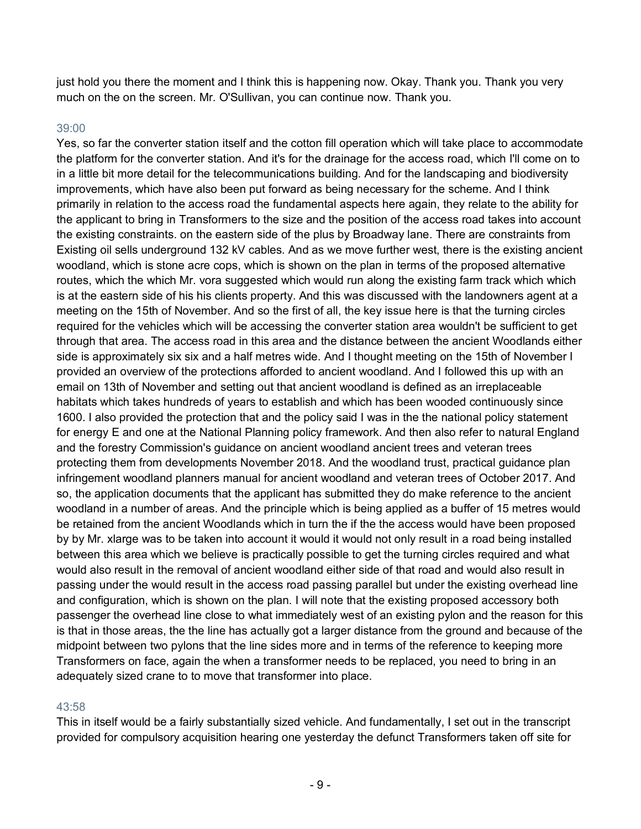just hold you there the moment and I think this is happening now. Okay. Thank you. Thank you very much on the on the screen. Mr. O'Sullivan, you can continue now. Thank you.

#### 39:00

Yes, so far the converter station itself and the cotton fill operation which will take place to accommodate the platform for the converter station. And it's for the drainage for the access road, which I'll come on to in a little bit more detail for the telecommunications building. And for the landscaping and biodiversity improvements, which have also been put forward as being necessary for the scheme. And I think primarily in relation to the access road the fundamental aspects here again, they relate to the ability for the applicant to bring in Transformers to the size and the position of the access road takes into account the existing constraints. on the eastern side of the plus by Broadway lane. There are constraints from Existing oil sells underground 132 kV cables. And as we move further west, there is the existing ancient woodland, which is stone acre cops, which is shown on the plan in terms of the proposed alternative routes, which the which Mr. vora suggested which would run along the existing farm track which which is at the eastern side of his his clients property. And this was discussed with the landowners agent at a meeting on the 15th of November. And so the first of all, the key issue here is that the turning circles required for the vehicles which will be accessing the converter station area wouldn't be sufficient to get through that area. The access road in this area and the distance between the ancient Woodlands either side is approximately six six and a half metres wide. And I thought meeting on the 15th of November I provided an overview of the protections afforded to ancient woodland. And I followed this up with an email on 13th of November and setting out that ancient woodland is defined as an irreplaceable habitats which takes hundreds of years to establish and which has been wooded continuously since 1600. I also provided the protection that and the policy said I was in the the national policy statement for energy E and one at the National Planning policy framework. And then also refer to natural England and the forestry Commission's guidance on ancient woodland ancient trees and veteran trees protecting them from developments November 2018. And the woodland trust, practical guidance plan infringement woodland planners manual for ancient woodland and veteran trees of October 2017. And so, the application documents that the applicant has submitted they do make reference to the ancient woodland in a number of areas. And the principle which is being applied as a buffer of 15 metres would be retained from the ancient Woodlands which in turn the if the the access would have been proposed by by Mr. xlarge was to be taken into account it would it would not only result in a road being installed between this area which we believe is practically possible to get the turning circles required and what would also result in the removal of ancient woodland either side of that road and would also result in passing under the would result in the access road passing parallel but under the existing overhead line and configuration, which is shown on the plan. I will note that the existing proposed accessory both passenger the overhead line close to what immediately west of an existing pylon and the reason for this is that in those areas, the the line has actually got a larger distance from the ground and because of the midpoint between two pylons that the line sides more and in terms of the reference to keeping more Transformers on face, again the when a transformer needs to be replaced, you need to bring in an adequately sized crane to to move that transformer into place.

## 43:58

This in itself would be a fairly substantially sized vehicle. And fundamentally, I set out in the transcript provided for compulsory acquisition hearing one yesterday the defunct Transformers taken off site for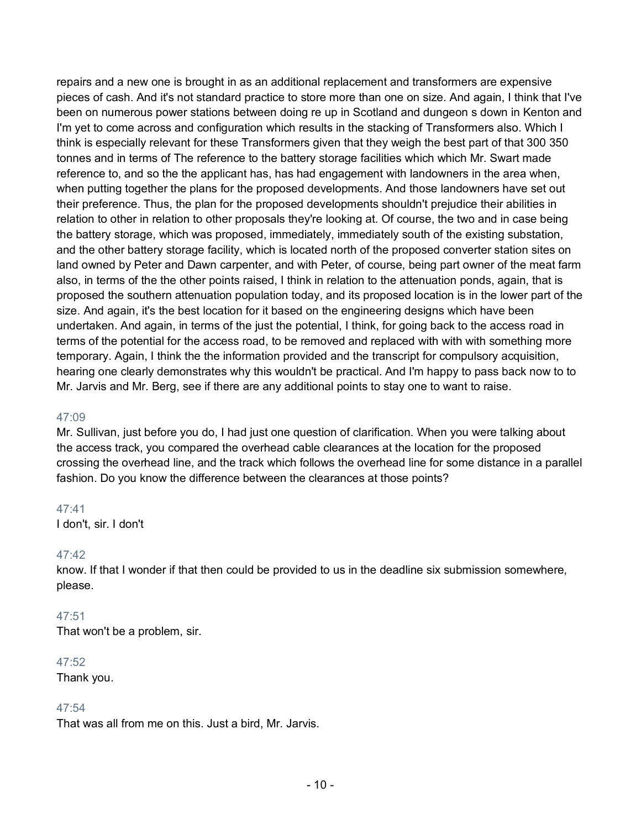repairs and a new one is brought in as an additional replacement and transformers are expensive pieces of cash. And it's not standard practice to store more than one on size. And again, I think that I've been on numerous power stations between doing re up in Scotland and dungeon s down in Kenton and I'm yet to come across and configuration which results in the stacking of Transformers also. Which I think is especially relevant for these Transformers given that they weigh the best part of that 300 350 tonnes and in terms of The reference to the battery storage facilities which which Mr. Swart made reference to, and so the the applicant has, has had engagement with landowners in the area when, when putting together the plans for the proposed developments. And those landowners have set out their preference. Thus, the plan for the proposed developments shouldn't prejudice their abilities in relation to other in relation to other proposals they're looking at. Of course, the two and in case being the battery storage, which was proposed, immediately, immediately south of the existing substation, and the other battery storage facility, which is located north of the proposed converter station sites on land owned by Peter and Dawn carpenter, and with Peter, of course, being part owner of the meat farm also, in terms of the the other points raised, I think in relation to the attenuation ponds, again, that is proposed the southern attenuation population today, and its proposed location is in the lower part of the size. And again, it's the best location for it based on the engineering designs which have been undertaken. And again, in terms of the just the potential, I think, for going back to the access road in terms of the potential for the access road, to be removed and replaced with with with something more temporary. Again, I think the the information provided and the transcript for compulsory acquisition, hearing one clearly demonstrates why this wouldn't be practical. And I'm happy to pass back now to to Mr. Jarvis and Mr. Berg, see if there are any additional points to stay one to want to raise.

## 47:09

Mr. Sullivan, just before you do, I had just one question of clarification. When you were talking about the access track, you compared the overhead cable clearances at the location for the proposed crossing the overhead line, and the track which follows the overhead line for some distance in a parallel fashion. Do you know the difference between the clearances at those points?

47:41 I don't, sir. I don't

## 47:42

know. If that I wonder if that then could be provided to us in the deadline six submission somewhere, please.

#### 47:51

That won't be a problem, sir.

#### 47:52

Thank you.

## 47:54

That was all from me on this. Just a bird, Mr. Jarvis.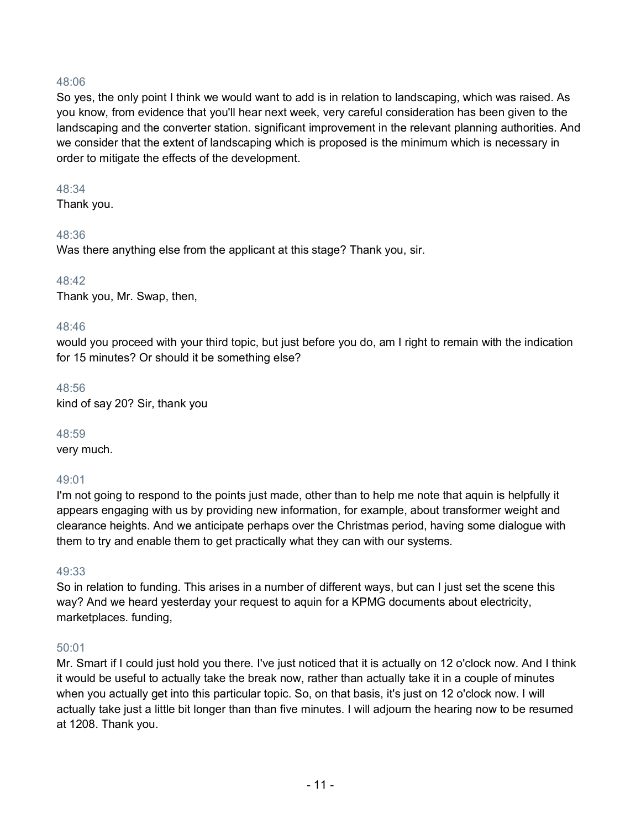## 48:06

So yes, the only point I think we would want to add is in relation to landscaping, which was raised. As you know, from evidence that you'll hear next week, very careful consideration has been given to the landscaping and the converter station. significant improvement in the relevant planning authorities. And we consider that the extent of landscaping which is proposed is the minimum which is necessary in order to mitigate the effects of the development.

#### 48:34

Thank you.

## 48:36

Was there anything else from the applicant at this stage? Thank you, sir.

## 48:42

Thank you, Mr. Swap, then,

## 48:46

would you proceed with your third topic, but just before you do, am I right to remain with the indication for 15 minutes? Or should it be something else?

## 48:56

kind of say 20? Sir, thank you

## 48:59

very much.

# 49:01

I'm not going to respond to the points just made, other than to help me note that aquin is helpfully it appears engaging with us by providing new information, for example, about transformer weight and clearance heights. And we anticipate perhaps over the Christmas period, having some dialogue with them to try and enable them to get practically what they can with our systems.

# 49:33

So in relation to funding. This arises in a number of different ways, but can I just set the scene this way? And we heard yesterday your request to aquin for a KPMG documents about electricity, marketplaces. funding,

# 50:01

Mr. Smart if I could just hold you there. I've just noticed that it is actually on 12 o'clock now. And I think it would be useful to actually take the break now, rather than actually take it in a couple of minutes when you actually get into this particular topic. So, on that basis, it's just on 12 o'clock now. I will actually take just a little bit longer than than five minutes. I will adjourn the hearing now to be resumed at 1208. Thank you.